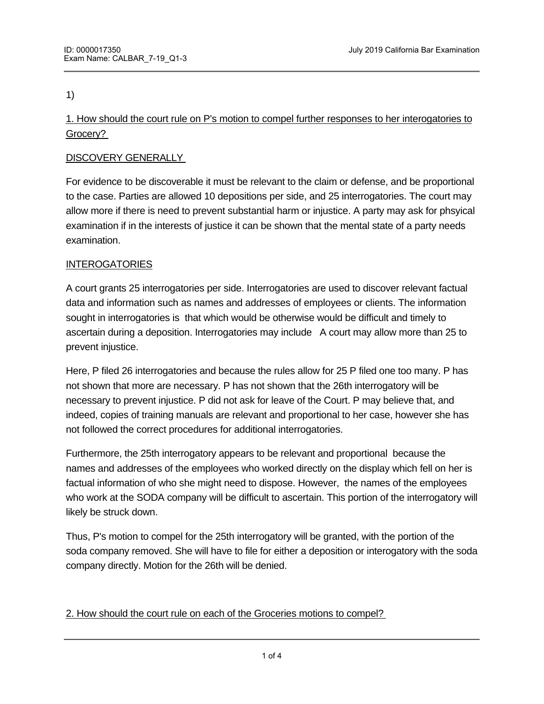1)

1. How should the court rule on P's motion to compel further responses to her interogatories to Grocery?

# DISCOVERY GENERALLY

For evidence to be discoverable it must be relevant to the claim or defense, and be proportional to the case. Parties are allowed 10 depositions per side, and 25 interrogatories. The court may allow more if there is need to prevent substantial harm or injustice. A party may ask for phsyical examination if in the interests of justice it can be shown that the mental state of a party needs examination.

## INTEROGATORIES

<u>Discovery and the second second</u>

A court grants 25 interrogatories per side. Interrogatories are used to discover relevant factual data and information such as names and addresses of employees or clients. The information sought in interrogatories is that which would be otherwise would be difficult and timely to ascertain during a deposition. Interrogatories may include A court may allow more than 25 to prevent injustice.

Here, P filed 26 interrogatories and because the rules allow for 25 P filed one too many. P has not shown that more are necessary. P has not shown that the 26th interrogatory will be necessary to prevent injustice. P did not ask for leave of the Court. P may believe that, and indeed, copies of training manuals are relevant and proportional to her case, however she has not followed the correct procedures for additional interrogatories.

Furthermore, the 25th interrogatory appears to be relevant and proportional because the names and addresses of the employees who worked directly on the display which fell on her is factual information of who she might need to dispose. However, the names of the employees who work at the SODA company will be difficult to ascertain. This portion of the interrogatory will likely be struck down.

Thus, P's motion to compel for the 25th interrogatory will be granted, with the portion of the soda company removed. She will have to file for either a deposition or interogatory with the soda company directly. Motion for the 26th will be denied.

## 2. How should the court rule on each of the Groceries motions to compel?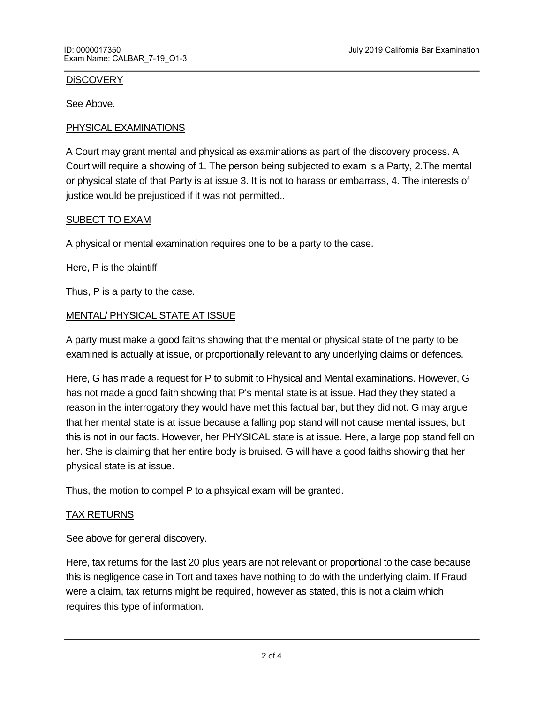#### **DISCOVERY**

See Above.

### PHYSICAL EXAMINATIONS

A Court may grant mental and physical as examinations as part of the discovery process. A Court will require a showing of 1. The person being subjected to exam is a Party, 2.The mental or physical state of that Party is at issue 3. It is not to harass or embarrass, 4. The interests of justice would be prejusticed if it was not permitted..

#### SUBECT TO EXAM

A physical or mental examination requires one to be a party to the case.

Here, P is the plaintiff

Thus, P is a party to the case.

#### MENTAL/ PHYSICAL STATE AT ISSUE

A party must make a good faiths showing that the mental or physical state of the party to be examined is actually at issue, or proportionally relevant to any underlying claims or defences.

Here, G has made a request for P to submit to Physical and Mental examinations. However, G has not made a good faith showing that P's mental state is at issue. Had they they stated a reason in the interrogatory they would have met this factual bar, but they did not. G may argue that her mental state is at issue because a falling pop stand will not cause mental issues, but this is not in our facts. However, her PHYSICAL state is at issue. Here, a large pop stand fell on her. She is claiming that her entire body is bruised. G will have a good faiths showing that her physical state is at issue.

Thus, the motion to compel P to a phsyical exam will be granted.

#### TAX RETURNS

See above for general discovery.

Here, tax returns for the last 20 plus years are not relevant or proportional to the case because this is negligence case in Tort and taxes have nothing to do with the underlying claim. If Fraud were a claim, tax returns might be required, however as stated, this is not a claim which requires this type of information.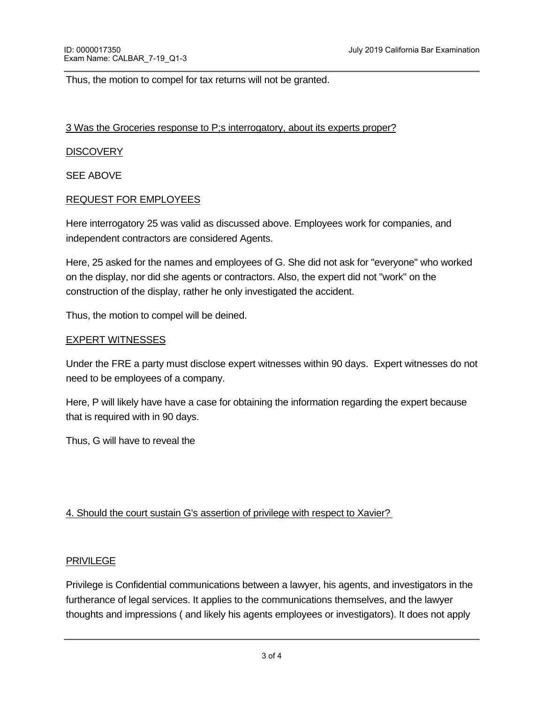Thus, the motion to compel for tax returns will not be granted.

#### 3 Was the Groceries response to P;s interrogatory, about its experts proper?

### **DISCOVERY**

SEE ABOVE

### REQUEST FOR EMPLOYEES

Here interrogatory 25 was valid as discussed above. Employees work for companies, and independent contractors are considered Agents.

Here, 25 asked for the names and employees of G. She did not ask for "everyone" who worked on the display, nor did she agents or contractors. Also, the expert did not "work" on the construction of the display, rather he only investigated the accident.

Thus, the motion to compel will be deined.

#### EXPERT WITNESSES

Under the FRE a party must disclose expert witnesses within 90 days. Expert witnesses do not need to be employees of a company.

Here, P will likely have have a case for obtaining the information regarding the expert because that is required with in 90 days.

Thus, G will have to reveal the

### 4. Should the court sustain G's assertion of privilege with respect to Xavier?

#### PRIVILEGE

Privilege is Confidential communications between a lawyer, his agents, and investigators in the furtherance of legal services. It applies to the communications themselves, and the lawyer thoughts and impressions ( and likely his agents employees or investigators). It does not apply